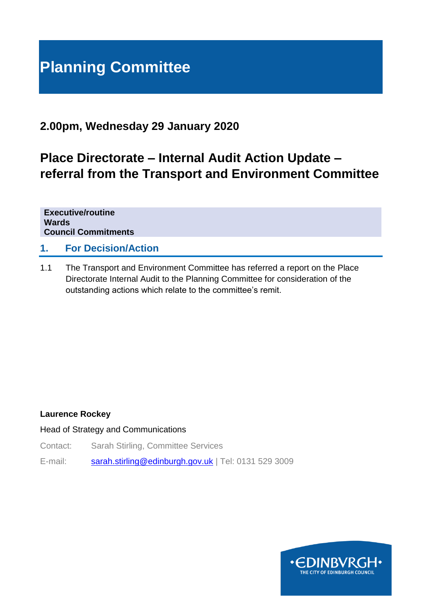# **Planning Committee**

# **2.00pm, Wednesday 29 January 2020**

# **Place Directorate – Internal Audit Action Update – referral from the Transport and Environment Committee**

**Executive/routine Wards Council Commitments**

### **1. For Decision/Action**

1.1 The Transport and Environment Committee has referred a report on the Place Directorate Internal Audit to the Planning Committee for consideration of the outstanding actions which relate to the committee's remit.

#### **Laurence Rockey**

#### Head of Strategy and Communications

- Contact: Sarah Stirling, Committee Services
- E-mail: [sarah.stirling@edinburgh.gov.uk](mailto:sarah.stirling@edinburgh.gov.uk) | Tel: 0131 529 3009

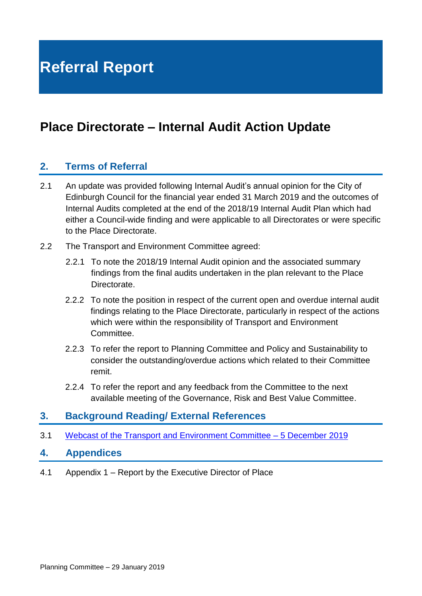# **Place Directorate – Internal Audit Action Update**

## **2. Terms of Referral**

- 2.1 An update was provided following Internal Audit's annual opinion for the City of Edinburgh Council for the financial year ended 31 March 2019 and the outcomes of Internal Audits completed at the end of the 2018/19 Internal Audit Plan which had either a Council-wide finding and were applicable to all Directorates or were specific to the Place Directorate.
- 2.2 The Transport and Environment Committee agreed:
	- 2.2.1 To note the 2018/19 Internal Audit opinion and the associated summary findings from the final audits undertaken in the plan relevant to the Place **Directorate**
	- 2.2.2 To note the position in respect of the current open and overdue internal audit findings relating to the Place Directorate, particularly in respect of the actions which were within the responsibility of Transport and Environment Committee.
	- 2.2.3 To refer the report to Planning Committee and Policy and Sustainability to consider the outstanding/overdue actions which related to their Committee remit.
	- 2.2.4 To refer the report and any feedback from the Committee to the next available meeting of the Governance, Risk and Best Value Committee.

### **3. Background Reading/ External References**

3.1 Webcast of the Transport [and Environment Committee –](https://edinburgh.public-i.tv/core/portal/webcast_interactive/458271) 5 December 2019

#### **4. Appendices**

4.1 Appendix 1 – Report by the Executive Director of Place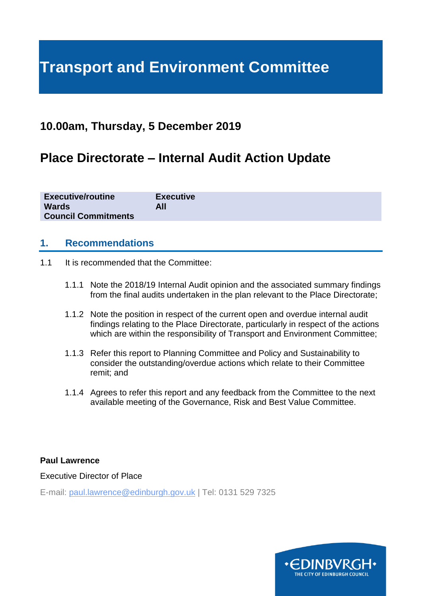# **Transport and Environment Committee**

# **10.00am, Thursday, 5 December 2019**

# **Place Directorate – Internal Audit Action Update**

| <b>Executive/routine</b><br><b>Wards</b><br><b>Council Commitments</b> | <b>Executive</b><br>All |
|------------------------------------------------------------------------|-------------------------|
|                                                                        |                         |

### **1. Recommendations**

- 1.1 It is recommended that the Committee:
	- 1.1.1 Note the 2018/19 Internal Audit opinion and the associated summary findings from the final audits undertaken in the plan relevant to the Place Directorate;
	- 1.1.2 Note the position in respect of the current open and overdue internal audit findings relating to the Place Directorate, particularly in respect of the actions which are within the responsibility of Transport and Environment Committee;
	- 1.1.3 Refer this report to Planning Committee and Policy and Sustainability to consider the outstanding/overdue actions which relate to their Committee remit; and
	- 1.1.4 Agrees to refer this report and any feedback from the Committee to the next available meeting of the Governance, Risk and Best Value Committee.

#### **Paul Lawrence**

Executive Director of Place

E-mail: paul.lawrence@edinburgh.gov.uk | Tel: 0131 529 7325

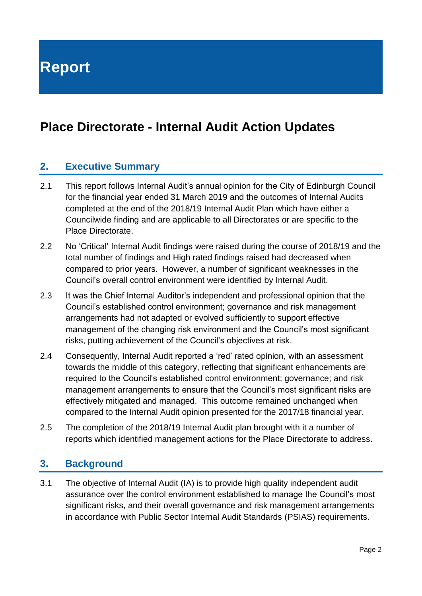**Report**

# **Place Directorate - Internal Audit Action Updates**

## **2. Executive Summary**

- 2.1 This report follows Internal Audit's annual opinion for the City of Edinburgh Council for the financial year ended 31 March 2019 and the outcomes of Internal Audits completed at the end of the 2018/19 Internal Audit Plan which have either a Councilwide finding and are applicable to all Directorates or are specific to the Place Directorate.
- 2.2 No 'Critical' Internal Audit findings were raised during the course of 2018/19 and the total number of findings and High rated findings raised had decreased when compared to prior years. However, a number of significant weaknesses in the Council's overall control environment were identified by Internal Audit.
- 2.3 It was the Chief Internal Auditor's independent and professional opinion that the Council's established control environment; governance and risk management arrangements had not adapted or evolved sufficiently to support effective management of the changing risk environment and the Council's most significant risks, putting achievement of the Council's objectives at risk.
- 2.4 Consequently, Internal Audit reported a 'red' rated opinion, with an assessment towards the middle of this category, reflecting that significant enhancements are required to the Council's established control environment; governance; and risk management arrangements to ensure that the Council's most significant risks are effectively mitigated and managed. This outcome remained unchanged when compared to the Internal Audit opinion presented for the 2017/18 financial year.
- 2.5 The completion of the 2018/19 Internal Audit plan brought with it a number of reports which identified management actions for the Place Directorate to address.

### **3. Background**

3.1 The objective of Internal Audit (IA) is to provide high quality independent audit assurance over the control environment established to manage the Council's most significant risks, and their overall governance and risk management arrangements in accordance with Public Sector Internal Audit Standards (PSIAS) requirements.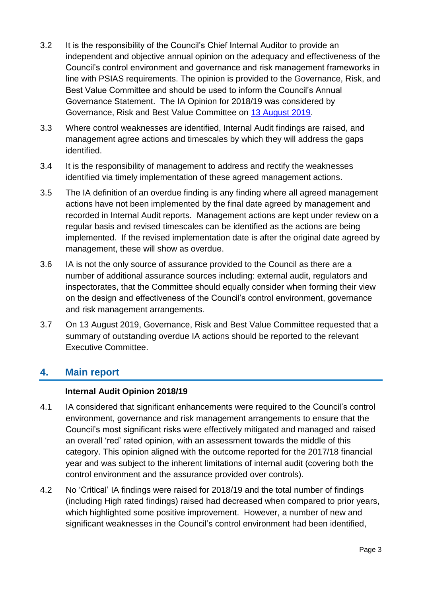- 3.2 It is the responsibility of the Council's Chief Internal Auditor to provide an independent and objective annual opinion on the adequacy and effectiveness of the Council's control environment and governance and risk management frameworks in line with PSIAS requirements. The opinion is provided to the Governance, Risk, and Best Value Committee and should be used to inform the Council's Annual Governance Statement. The IA Opinion for 2018/19 was considered by Governance, Risk and Best Value Committee on [13 August 2019.](https://democracy.edinburgh.gov.uk/documents/s4694/Annual%20Internal%20Audit%20Opinion%202018-19_inc%20appendicies_FINAL.pdf)
- 3.3 Where control weaknesses are identified, Internal Audit findings are raised, and management agree actions and timescales by which they will address the gaps identified.
- 3.4 It is the responsibility of management to address and rectify the weaknesses identified via timely implementation of these agreed management actions.
- 3.5 The IA definition of an overdue finding is any finding where all agreed management actions have not been implemented by the final date agreed by management and recorded in Internal Audit reports. Management actions are kept under review on a regular basis and revised timescales can be identified as the actions are being implemented. If the revised implementation date is after the original date agreed by management, these will show as overdue.
- 3.6 IA is not the only source of assurance provided to the Council as there are a number of additional assurance sources including: external audit, regulators and inspectorates, that the Committee should equally consider when forming their view on the design and effectiveness of the Council's control environment, governance and risk management arrangements.
- 3.7 On 13 August 2019, Governance, Risk and Best Value Committee requested that a summary of outstanding overdue IA actions should be reported to the relevant Executive Committee.

## **4. Main report**

#### **Internal Audit Opinion 2018/19**

- 4.1 IA considered that significant enhancements were required to the Council's control environment, governance and risk management arrangements to ensure that the Council's most significant risks were effectively mitigated and managed and raised an overall 'red' rated opinion, with an assessment towards the middle of this category. This opinion aligned with the outcome reported for the 2017/18 financial year and was subject to the inherent limitations of internal audit (covering both the control environment and the assurance provided over controls).
- 4.2 No 'Critical' IA findings were raised for 2018/19 and the total number of findings (including High rated findings) raised had decreased when compared to prior years, which highlighted some positive improvement. However, a number of new and significant weaknesses in the Council's control environment had been identified,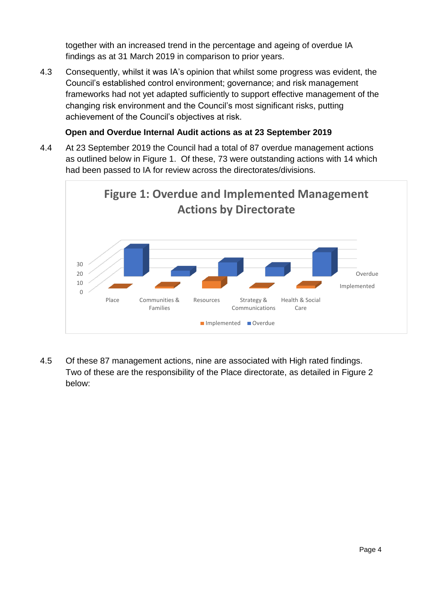together with an increased trend in the percentage and ageing of overdue IA findings as at 31 March 2019 in comparison to prior years.

4.3 Consequently, whilst it was IA's opinion that whilst some progress was evident, the Council's established control environment; governance; and risk management frameworks had not yet adapted sufficiently to support effective management of the changing risk environment and the Council's most significant risks, putting achievement of the Council's objectives at risk.

#### **Open and Overdue Internal Audit actions as at 23 September 2019**

4.4 At 23 September 2019 the Council had a total of 87 overdue management actions as outlined below in Figure 1. Of these, 73 were outstanding actions with 14 which had been passed to IA for review across the directorates/divisions.



4.5 Of these 87 management actions, nine are associated with High rated findings. Two of these are the responsibility of the Place directorate, as detailed in Figure 2 below: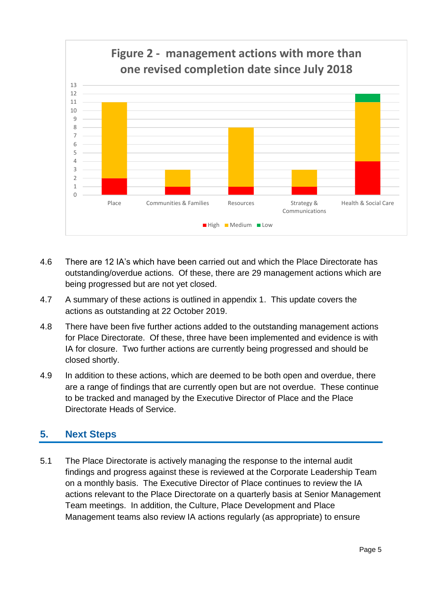

- 4.6 There are 12 IA's which have been carried out and which the Place Directorate has outstanding/overdue actions. Of these, there are 29 management actions which are being progressed but are not yet closed.
- 4.7 A summary of these actions is outlined in appendix 1. This update covers the actions as outstanding at 22 October 2019.
- 4.8 There have been five further actions added to the outstanding management actions for Place Directorate. Of these, three have been implemented and evidence is with IA for closure. Two further actions are currently being progressed and should be closed shortly.
- 4.9 In addition to these actions, which are deemed to be both open and overdue, there are a range of findings that are currently open but are not overdue. These continue to be tracked and managed by the Executive Director of Place and the Place Directorate Heads of Service.

# **5. Next Steps**

5.1 The Place Directorate is actively managing the response to the internal audit findings and progress against these is reviewed at the Corporate Leadership Team on a monthly basis. The Executive Director of Place continues to review the IA actions relevant to the Place Directorate on a quarterly basis at Senior Management Team meetings. In addition, the Culture, Place Development and Place Management teams also review IA actions regularly (as appropriate) to ensure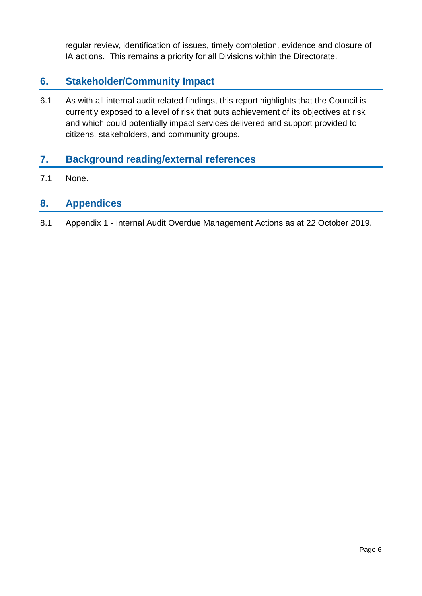regular review, identification of issues, timely completion, evidence and closure of IA actions. This remains a priority for all Divisions within the Directorate.

# **6. Stakeholder/Community Impact**

6.1 As with all internal audit related findings, this report highlights that the Council is currently exposed to a level of risk that puts achievement of its objectives at risk and which could potentially impact services delivered and support provided to citizens, stakeholders, and community groups.

## **7. Background reading/external references**

7.1 None.

## **8. Appendices**

8.1 Appendix 1 - Internal Audit Overdue Management Actions as at 22 October 2019.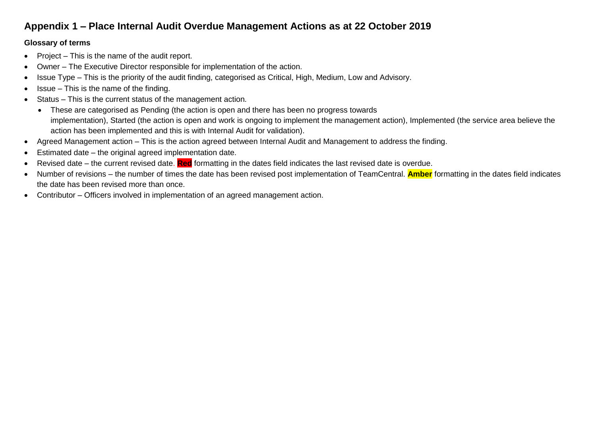# **Appendix 1 – Place Internal Audit Overdue Management Actions as at 22 October 2019**

#### **Glossary of terms**

- Project This is the name of the audit report.
- Owner The Executive Director responsible for implementation of the action.
- Issue Type This is the priority of the audit finding, categorised as Critical, High, Medium, Low and Advisory.
- Issue This is the name of the finding.
- Status This is the current status of the management action.
	- These are categorised as Pending (the action is open and there has been no progress towards implementation), Started (the action is open and work is ongoing to implement the management action), Implemented (the service area believe the action has been implemented and this is with Internal Audit for validation).
- Agreed Management action This is the action agreed between Internal Audit and Management to address the finding.
- Estimated date the original agreed implementation date.
- Revised date the current revised date. **Red** formatting in the dates field indicates the last revised date is overdue.
- Number of revisions the number of times the date has been revised post implementation of TeamCentral. **Amber** formatting in the dates field indicates the date has been revised more than once.
- Contributor Officers involved in implementation of an agreed management action.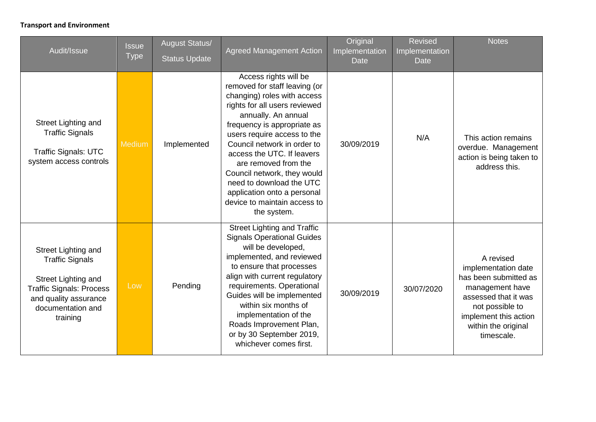#### **Transport and Environment**

| Audit/Issue                                                                                                                                                       | <b>Issue</b><br><b>Type</b> | <b>August Status/</b><br><b>Status Update</b> | <b>Agreed Management Action</b>                                                                                                                                                                                                                                                                                                                                                                                                           | Original<br>Implementation<br>Date | <b>Revised</b><br>Implementation<br><b>Date</b> | <b>Notes</b>                                                                                                                                                                          |
|-------------------------------------------------------------------------------------------------------------------------------------------------------------------|-----------------------------|-----------------------------------------------|-------------------------------------------------------------------------------------------------------------------------------------------------------------------------------------------------------------------------------------------------------------------------------------------------------------------------------------------------------------------------------------------------------------------------------------------|------------------------------------|-------------------------------------------------|---------------------------------------------------------------------------------------------------------------------------------------------------------------------------------------|
| Street Lighting and<br><b>Traffic Signals</b><br><b>Traffic Signals: UTC</b><br>system access controls                                                            | Medium                      | Implemented                                   | Access rights will be<br>removed for staff leaving (or<br>changing) roles with access<br>rights for all users reviewed<br>annually. An annual<br>frequency is appropriate as<br>users require access to the<br>Council network in order to<br>access the UTC. If leavers<br>are removed from the<br>Council network, they would<br>need to download the UTC<br>application onto a personal<br>device to maintain access to<br>the system. | 30/09/2019                         | N/A                                             | This action remains<br>overdue. Management<br>action is being taken to<br>address this.                                                                                               |
| Street Lighting and<br><b>Traffic Signals</b><br>Street Lighting and<br><b>Traffic Signals: Process</b><br>and quality assurance<br>documentation and<br>training | Low                         | Pending                                       | <b>Street Lighting and Traffic</b><br><b>Signals Operational Guides</b><br>will be developed,<br>implemented, and reviewed<br>to ensure that processes<br>align with current regulatory<br>requirements. Operational<br>Guides will be implemented<br>within six months of<br>implementation of the<br>Roads Improvement Plan,<br>or by 30 September 2019,<br>whichever comes first.                                                      | 30/09/2019                         | 30/07/2020                                      | A revised<br>implementation date<br>has been submitted as<br>management have<br>assessed that it was<br>not possible to<br>implement this action<br>within the original<br>timescale. |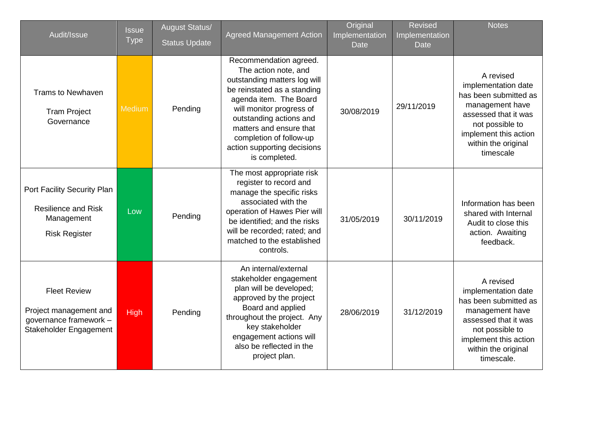| Audit/Issue                                                                                       | <b>Issue</b><br><b>Type</b> | <b>August Status/</b><br><b>Status Update</b> | <b>Agreed Management Action</b>                                                                                                                                                                                                                                                                      | Original<br>Implementation<br><b>Date</b> | <b>Revised</b><br>Implementation<br><b>Date</b> | <b>Notes</b>                                                                                                                                                                          |
|---------------------------------------------------------------------------------------------------|-----------------------------|-----------------------------------------------|------------------------------------------------------------------------------------------------------------------------------------------------------------------------------------------------------------------------------------------------------------------------------------------------------|-------------------------------------------|-------------------------------------------------|---------------------------------------------------------------------------------------------------------------------------------------------------------------------------------------|
| <b>Trams to Newhaven</b><br><b>Tram Project</b><br>Governance                                     | Medium                      | Pending                                       | Recommendation agreed.<br>The action note, and<br>outstanding matters log will<br>be reinstated as a standing<br>agenda item. The Board<br>will monitor progress of<br>outstanding actions and<br>matters and ensure that<br>completion of follow-up<br>action supporting decisions<br>is completed. | 30/08/2019                                | 29/11/2019                                      | A revised<br>implementation date<br>has been submitted as<br>management have<br>assessed that it was<br>not possible to<br>implement this action<br>within the original<br>timescale  |
| Port Facility Security Plan<br><b>Resilience and Risk</b><br>Management<br><b>Risk Register</b>   | Low                         | Pending                                       | The most appropriate risk<br>register to record and<br>manage the specific risks<br>associated with the<br>operation of Hawes Pier will<br>be identified; and the risks<br>will be recorded; rated; and<br>matched to the established<br>controls.                                                   | 31/05/2019                                | 30/11/2019                                      | Information has been<br>shared with Internal<br>Audit to close this<br>action. Awaiting<br>feedback.                                                                                  |
| <b>Fleet Review</b><br>Project management and<br>governance framework -<br>Stakeholder Engagement | <b>High</b>                 | Pending                                       | An internal/external<br>stakeholder engagement<br>plan will be developed;<br>approved by the project<br>Board and applied<br>throughout the project. Any<br>key stakeholder<br>engagement actions will<br>also be reflected in the<br>project plan.                                                  | 28/06/2019                                | 31/12/2019                                      | A revised<br>implementation date<br>has been submitted as<br>management have<br>assessed that it was<br>not possible to<br>implement this action<br>within the original<br>timescale. |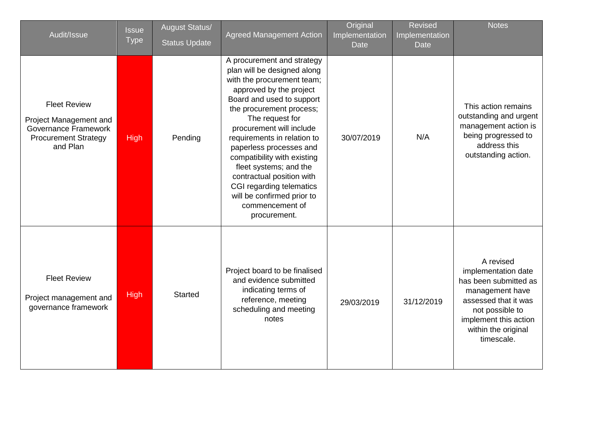| Audit/Issue                                                                                                             | <b>Issue</b><br><b>Type</b> | <b>August Status/</b><br><b>Status Update</b> | <b>Agreed Management Action</b>                                                                                                                                                                                                                                                                                                                                                                                                                                         | Original<br>Implementation<br><b>Date</b> | <b>Revised</b><br>Implementation<br><b>Date</b> | <b>Notes</b>                                                                                                                                                                          |
|-------------------------------------------------------------------------------------------------------------------------|-----------------------------|-----------------------------------------------|-------------------------------------------------------------------------------------------------------------------------------------------------------------------------------------------------------------------------------------------------------------------------------------------------------------------------------------------------------------------------------------------------------------------------------------------------------------------------|-------------------------------------------|-------------------------------------------------|---------------------------------------------------------------------------------------------------------------------------------------------------------------------------------------|
| <b>Fleet Review</b><br>Project Management and<br><b>Governance Framework</b><br><b>Procurement Strategy</b><br>and Plan | <b>High</b>                 | Pending                                       | A procurement and strategy<br>plan will be designed along<br>with the procurement team;<br>approved by the project<br>Board and used to support<br>the procurement process;<br>The request for<br>procurement will include<br>requirements in relation to<br>paperless processes and<br>compatibility with existing<br>fleet systems; and the<br>contractual position with<br>CGI regarding telematics<br>will be confirmed prior to<br>commencement of<br>procurement. | 30/07/2019                                | N/A                                             | This action remains<br>outstanding and urgent<br>management action is<br>being progressed to<br>address this<br>outstanding action.                                                   |
| <b>Fleet Review</b><br>Project management and<br>governance framework                                                   | <b>High</b>                 | <b>Started</b>                                | Project board to be finalised<br>and evidence submitted<br>indicating terms of<br>reference, meeting<br>scheduling and meeting<br>notes                                                                                                                                                                                                                                                                                                                                 | 29/03/2019                                | 31/12/2019                                      | A revised<br>implementation date<br>has been submitted as<br>management have<br>assessed that it was<br>not possible to<br>implement this action<br>within the original<br>timescale. |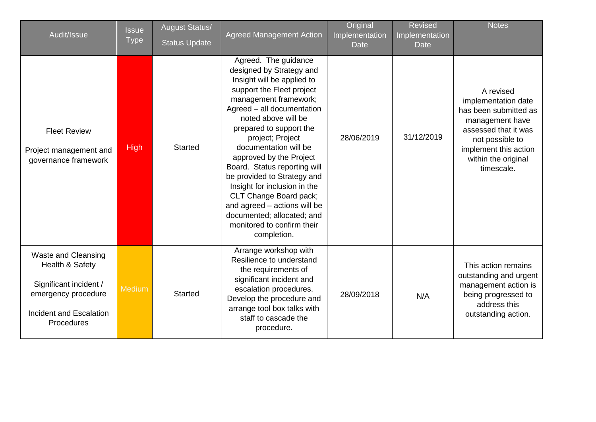| Audit/Issue                                                                                                                             | <b>Issue</b><br><b>Type</b> | <b>August Status/</b><br><b>Status Update</b> | <b>Agreed Management Action</b>                                                                                                                                                                                                                                                                                                                                                                                                                                                                                                  | Original<br>Implementation<br><b>Date</b> | <b>Revised</b><br>Implementation<br><b>Date</b> | <b>Notes</b>                                                                                                                                                                          |
|-----------------------------------------------------------------------------------------------------------------------------------------|-----------------------------|-----------------------------------------------|----------------------------------------------------------------------------------------------------------------------------------------------------------------------------------------------------------------------------------------------------------------------------------------------------------------------------------------------------------------------------------------------------------------------------------------------------------------------------------------------------------------------------------|-------------------------------------------|-------------------------------------------------|---------------------------------------------------------------------------------------------------------------------------------------------------------------------------------------|
| <b>Fleet Review</b><br>Project management and<br>governance framework                                                                   | <b>High</b>                 | <b>Started</b>                                | Agreed. The guidance<br>designed by Strategy and<br>Insight will be applied to<br>support the Fleet project<br>management framework;<br>Agreed - all documentation<br>noted above will be<br>prepared to support the<br>project; Project<br>documentation will be<br>approved by the Project<br>Board. Status reporting will<br>be provided to Strategy and<br>Insight for inclusion in the<br>CLT Change Board pack;<br>and agreed - actions will be<br>documented; allocated; and<br>monitored to confirm their<br>completion. | 28/06/2019                                | 31/12/2019                                      | A revised<br>implementation date<br>has been submitted as<br>management have<br>assessed that it was<br>not possible to<br>implement this action<br>within the original<br>timescale. |
| <b>Waste and Cleansing</b><br>Health & Safety<br>Significant incident /<br>emergency procedure<br>Incident and Escalation<br>Procedures | Medium                      | <b>Started</b>                                | Arrange workshop with<br>Resilience to understand<br>the requirements of<br>significant incident and<br>escalation procedures.<br>Develop the procedure and<br>arrange tool box talks with<br>staff to cascade the<br>procedure.                                                                                                                                                                                                                                                                                                 | 28/09/2018                                | N/A                                             | This action remains<br>outstanding and urgent<br>management action is<br>being progressed to<br>address this<br>outstanding action.                                                   |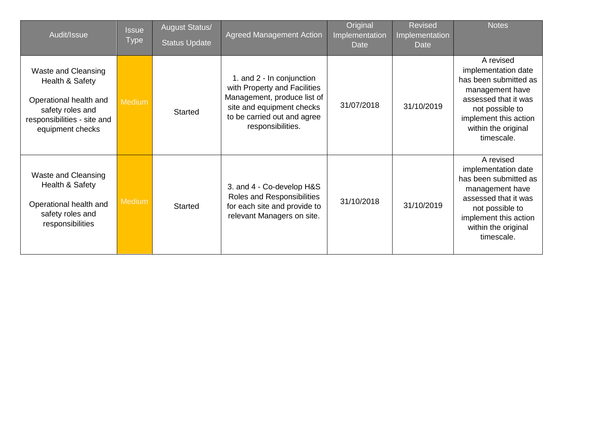| Audit/Issue                                                                                                                             | <b>Issue</b><br><b>Type</b> | <b>August Status/</b><br><b>Status Update</b> | <b>Agreed Management Action</b>                                                                                                                                           | Original<br>Implementation<br>Date | <b>Revised</b><br>Implementation<br>Date | <b>Notes</b>                                                                                                                                                                          |
|-----------------------------------------------------------------------------------------------------------------------------------------|-----------------------------|-----------------------------------------------|---------------------------------------------------------------------------------------------------------------------------------------------------------------------------|------------------------------------|------------------------------------------|---------------------------------------------------------------------------------------------------------------------------------------------------------------------------------------|
| Waste and Cleansing<br>Health & Safety<br>Operational health and<br>safety roles and<br>responsibilities - site and<br>equipment checks | Medium,                     | <b>Started</b>                                | 1. and 2 - In conjunction<br>with Property and Facilities<br>Management, produce list of<br>site and equipment checks<br>to be carried out and agree<br>responsibilities. | 31/07/2018                         | 31/10/2019                               | A revised<br>implementation date<br>has been submitted as<br>management have<br>assessed that it was<br>not possible to<br>implement this action<br>within the original<br>timescale. |
| Waste and Cleansing<br>Health & Safety<br>Operational health and<br>safety roles and<br>responsibilities                                | <b>Medium</b>               | <b>Started</b>                                | 3. and 4 - Co-develop H&S<br>Roles and Responsibilities<br>for each site and provide to<br>relevant Managers on site.                                                     | 31/10/2018                         | 31/10/2019                               | A revised<br>implementation date<br>has been submitted as<br>management have<br>assessed that it was<br>not possible to<br>implement this action<br>within the original<br>timescale. |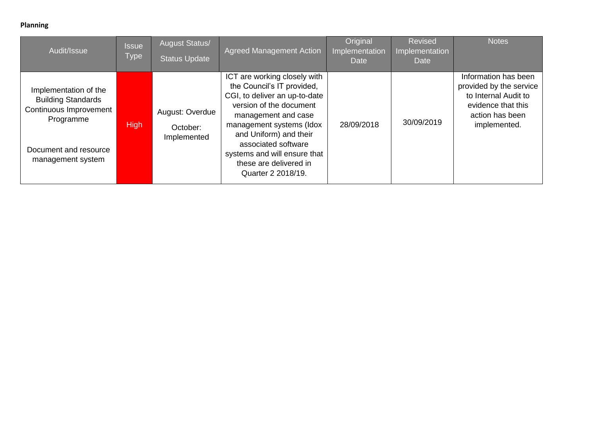#### **Planning**

| Audit/Issue                                                                                                                             | <b>Issue</b><br><b>Type</b> | <b>August Status/</b><br><b>Status Update</b> | <b>Agreed Management Action</b>                                                                                                                                                                                                                                                                            | Original<br>Implementation<br><b>Date</b> | <b>Revised</b><br>Implementation<br>Date | <b>Notes</b>                                                                                                                     |
|-----------------------------------------------------------------------------------------------------------------------------------------|-----------------------------|-----------------------------------------------|------------------------------------------------------------------------------------------------------------------------------------------------------------------------------------------------------------------------------------------------------------------------------------------------------------|-------------------------------------------|------------------------------------------|----------------------------------------------------------------------------------------------------------------------------------|
| Implementation of the<br><b>Building Standards</b><br>Continuous Improvement<br>Programme<br>Document and resource<br>management system | <b>High</b>                 | August: Overdue<br>October:<br>Implemented    | ICT are working closely with<br>the Council's IT provided,<br>CGI, to deliver an up-to-date<br>version of the document<br>management and case<br>management systems (Idox<br>and Uniform) and their<br>associated software<br>systems and will ensure that<br>these are delivered in<br>Quarter 2 2018/19. | 28/09/2018                                | 30/09/2019                               | Information has been<br>provided by the service<br>to Internal Audit to<br>evidence that this<br>action has been<br>implemented. |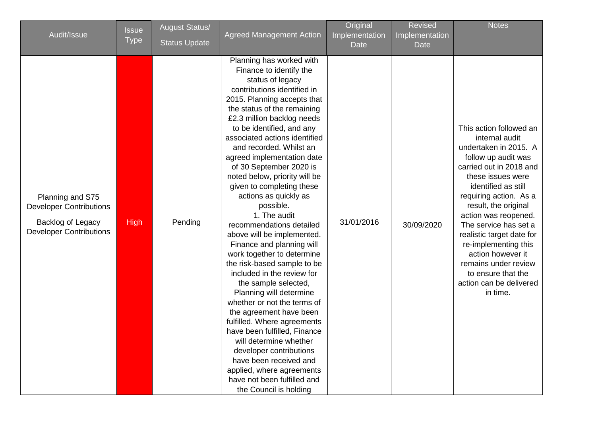| Audit/Issue                                                                                               | <b>Issue</b><br><b>Type</b> | <b>August Status/</b>           | <b>Agreed Management Action</b>                                                                                                                                                                                                                                                                                                                                                                                                                                                                                                                                                                                                                                                                                                                                                                                                                                                                                                                                                                             | Original<br>Implementation | <b>Revised</b><br>Implementation | <b>Notes</b>                                                                                                                                                                                                                                                                                                                                                                                                                       |
|-----------------------------------------------------------------------------------------------------------|-----------------------------|---------------------------------|-------------------------------------------------------------------------------------------------------------------------------------------------------------------------------------------------------------------------------------------------------------------------------------------------------------------------------------------------------------------------------------------------------------------------------------------------------------------------------------------------------------------------------------------------------------------------------------------------------------------------------------------------------------------------------------------------------------------------------------------------------------------------------------------------------------------------------------------------------------------------------------------------------------------------------------------------------------------------------------------------------------|----------------------------|----------------------------------|------------------------------------------------------------------------------------------------------------------------------------------------------------------------------------------------------------------------------------------------------------------------------------------------------------------------------------------------------------------------------------------------------------------------------------|
| Planning and S75<br><b>Developer Contributions</b><br>Backlog of Legacy<br><b>Developer Contributions</b> | <b>High</b>                 | <b>Status Update</b><br>Pending | Planning has worked with<br>Finance to identify the<br>status of legacy<br>contributions identified in<br>2015. Planning accepts that<br>the status of the remaining<br>£2.3 million backlog needs<br>to be identified, and any<br>associated actions identified<br>and recorded. Whilst an<br>agreed implementation date<br>of 30 September 2020 is<br>noted below, priority will be<br>given to completing these<br>actions as quickly as<br>possible.<br>1. The audit<br>recommendations detailed<br>above will be implemented.<br>Finance and planning will<br>work together to determine<br>the risk-based sample to be<br>included in the review for<br>the sample selected,<br>Planning will determine<br>whether or not the terms of<br>the agreement have been<br>fulfilled. Where agreements<br>have been fulfilled, Finance<br>will determine whether<br>developer contributions<br>have been received and<br>applied, where agreements<br>have not been fulfilled and<br>the Council is holding | <b>Date</b><br>31/01/2016  | Date<br>30/09/2020               | This action followed an<br>internal audit<br>undertaken in 2015. A<br>follow up audit was<br>carried out in 2018 and<br>these issues were<br>identified as still<br>requiring action. As a<br>result, the original<br>action was reopened.<br>The service has set a<br>realistic target date for<br>re-implementing this<br>action however it<br>remains under review<br>to ensure that the<br>action can be delivered<br>in time. |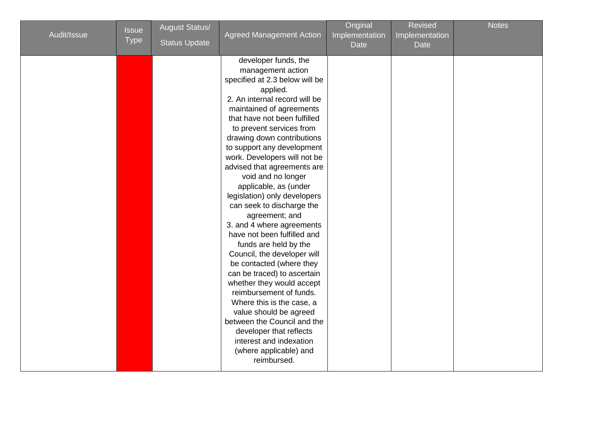| Audit/Issue | <b>Issue</b><br><b>Type</b> | <b>August Status/</b><br><b>Status Update</b> | <b>Agreed Management Action</b>                                                                                                                                                                                                                                                                                                                                                                                                                                                                                                                                                                                                                                                                                                                                                                                                                                                                       | Original<br>Implementation<br>Date | <b>Revised</b><br>Implementation<br>Date | <b>Notes</b> |
|-------------|-----------------------------|-----------------------------------------------|-------------------------------------------------------------------------------------------------------------------------------------------------------------------------------------------------------------------------------------------------------------------------------------------------------------------------------------------------------------------------------------------------------------------------------------------------------------------------------------------------------------------------------------------------------------------------------------------------------------------------------------------------------------------------------------------------------------------------------------------------------------------------------------------------------------------------------------------------------------------------------------------------------|------------------------------------|------------------------------------------|--------------|
|             |                             |                                               | developer funds, the<br>management action<br>specified at 2.3 below will be<br>applied.<br>2. An internal record will be<br>maintained of agreements<br>that have not been fulfilled<br>to prevent services from<br>drawing down contributions<br>to support any development<br>work. Developers will not be<br>advised that agreements are<br>void and no longer<br>applicable, as (under<br>legislation) only developers<br>can seek to discharge the<br>agreement; and<br>3. and 4 where agreements<br>have not been fulfilled and<br>funds are held by the<br>Council, the developer will<br>be contacted (where they<br>can be traced) to ascertain<br>whether they would accept<br>reimbursement of funds.<br>Where this is the case, a<br>value should be agreed<br>between the Council and the<br>developer that reflects<br>interest and indexation<br>(where applicable) and<br>reimbursed. |                                    |                                          |              |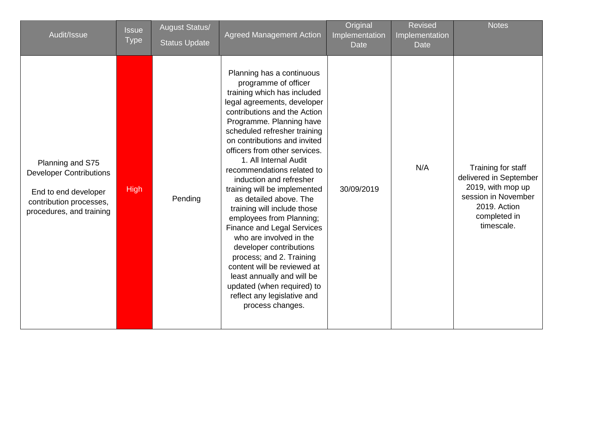| Audit/Issue                                                                                                                       | <b>Issue</b><br><b>Type</b> | <b>August Status/</b><br><b>Status Update</b> | <b>Agreed Management Action</b>                                                                                                                                                                                                                                                                                                                                                                                                                                                                                                                                                                                                                                                                                                                          | Original<br>Implementation<br><b>Date</b> | <b>Revised</b><br>Implementation<br><b>Date</b> | <b>Notes</b>                                                                                                                           |
|-----------------------------------------------------------------------------------------------------------------------------------|-----------------------------|-----------------------------------------------|----------------------------------------------------------------------------------------------------------------------------------------------------------------------------------------------------------------------------------------------------------------------------------------------------------------------------------------------------------------------------------------------------------------------------------------------------------------------------------------------------------------------------------------------------------------------------------------------------------------------------------------------------------------------------------------------------------------------------------------------------------|-------------------------------------------|-------------------------------------------------|----------------------------------------------------------------------------------------------------------------------------------------|
| Planning and S75<br><b>Developer Contributions</b><br>End to end developer<br>contribution processes,<br>procedures, and training | <b>High</b>                 | Pending                                       | Planning has a continuous<br>programme of officer<br>training which has included<br>legal agreements, developer<br>contributions and the Action<br>Programme. Planning have<br>scheduled refresher training<br>on contributions and invited<br>officers from other services.<br>1. All Internal Audit<br>recommendations related to<br>induction and refresher<br>training will be implemented<br>as detailed above. The<br>training will include those<br>employees from Planning;<br><b>Finance and Legal Services</b><br>who are involved in the<br>developer contributions<br>process; and 2. Training<br>content will be reviewed at<br>least annually and will be<br>updated (when required) to<br>reflect any legislative and<br>process changes. | 30/09/2019                                | N/A                                             | Training for staff<br>delivered in September<br>2019, with mop up<br>session in November<br>2019. Action<br>completed in<br>timescale. |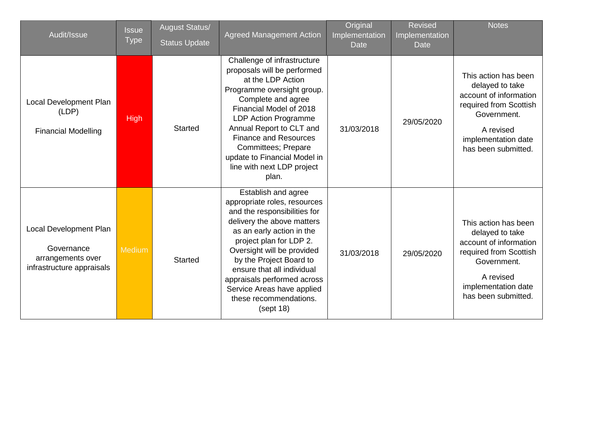| Audit/Issue                                                                            | <b>Issue</b><br><b>Type</b> | <b>August Status/</b><br><b>Status Update</b> | <b>Agreed Management Action</b>                                                                                                                                                                                                                                                                                                                                         | Original<br>Implementation<br><b>Date</b> | <b>Revised</b><br>Implementation<br>Date <sup>'</sup> | <b>Notes</b>                                                                                                                                                          |
|----------------------------------------------------------------------------------------|-----------------------------|-----------------------------------------------|-------------------------------------------------------------------------------------------------------------------------------------------------------------------------------------------------------------------------------------------------------------------------------------------------------------------------------------------------------------------------|-------------------------------------------|-------------------------------------------------------|-----------------------------------------------------------------------------------------------------------------------------------------------------------------------|
| Local Development Plan<br>(LDP)<br><b>Financial Modelling</b>                          | <b>High</b>                 | <b>Started</b>                                | Challenge of infrastructure<br>proposals will be performed<br>at the LDP Action<br>Programme oversight group.<br>Complete and agree<br>Financial Model of 2018<br><b>LDP Action Programme</b><br>Annual Report to CLT and<br><b>Finance and Resources</b><br>Committees; Prepare<br>update to Financial Model in<br>line with next LDP project<br>plan.                 | 31/03/2018                                | 29/05/2020                                            | This action has been<br>delayed to take<br>account of information<br>required from Scottish<br>Government.<br>A revised<br>implementation date<br>has been submitted. |
| Local Development Plan<br>Governance<br>arrangements over<br>infrastructure appraisals | Medium                      | <b>Started</b>                                | Establish and agree<br>appropriate roles, resources<br>and the responsibilities for<br>delivery the above matters<br>as an early action in the<br>project plan for LDP 2.<br>Oversight will be provided<br>by the Project Board to<br>ensure that all individual<br>appraisals performed across<br>Service Areas have applied<br>these recommendations.<br>$(s$ ept 18) | 31/03/2018                                | 29/05/2020                                            | This action has been<br>delayed to take<br>account of information<br>required from Scottish<br>Government.<br>A revised<br>implementation date<br>has been submitted. |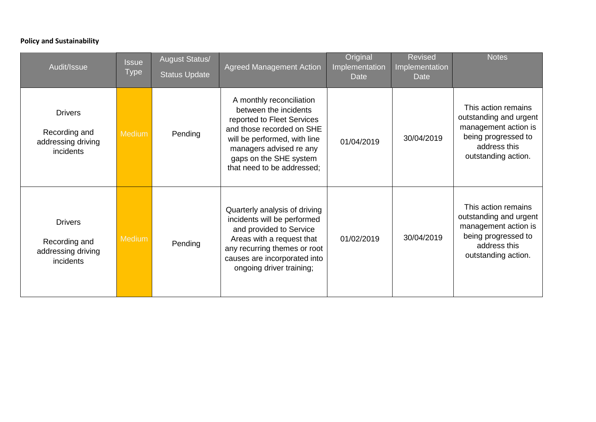#### **Policy and Sustainability**

| Audit/Issue                                                        | <b>Issue</b><br><b>Type</b> | <b>August Status/</b><br><b>Status Update</b> | <b>Agreed Management Action</b>                                                                                                                                                                                                 | Original<br>Implementation<br><b>Date</b> | <b>Revised</b><br>Implementation<br><b>Date</b> | <b>Notes</b>                                                                                                                        |
|--------------------------------------------------------------------|-----------------------------|-----------------------------------------------|---------------------------------------------------------------------------------------------------------------------------------------------------------------------------------------------------------------------------------|-------------------------------------------|-------------------------------------------------|-------------------------------------------------------------------------------------------------------------------------------------|
| <b>Drivers</b><br>Recording and<br>addressing driving<br>incidents | <b>Medium</b>               | Pending                                       | A monthly reconciliation<br>between the incidents<br>reported to Fleet Services<br>and those recorded on SHE<br>will be performed, with line<br>managers advised re any<br>gaps on the SHE system<br>that need to be addressed; | 01/04/2019                                | 30/04/2019                                      | This action remains<br>outstanding and urgent<br>management action is<br>being progressed to<br>address this<br>outstanding action. |
| <b>Drivers</b><br>Recording and<br>addressing driving<br>incidents | <b>Medium</b>               | Pending                                       | Quarterly analysis of driving<br>incidents will be performed<br>and provided to Service<br>Areas with a request that<br>any recurring themes or root<br>causes are incorporated into<br>ongoing driver training;                | 01/02/2019                                | 30/04/2019                                      | This action remains<br>outstanding and urgent<br>management action is<br>being progressed to<br>address this<br>outstanding action. |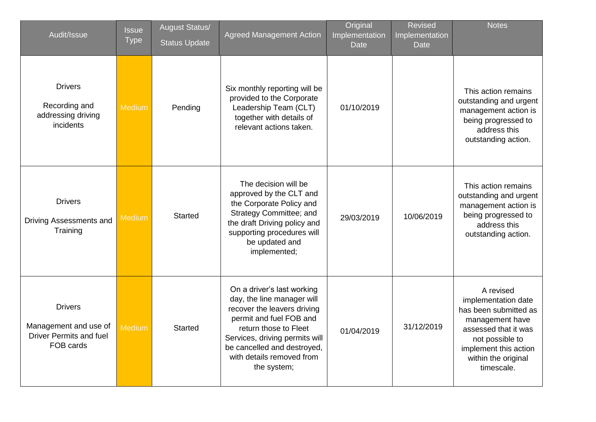| Audit/Issue                                                                            | <b>Issue</b><br><b>Type</b> | <b>August Status/</b><br><b>Status Update</b> | <b>Agreed Management Action</b>                                                                                                                                                                                                                          | Original<br>Implementation<br><b>Date</b> | <b>Revised</b><br>Implementation<br><b>Date</b> | <b>Notes</b>                                                                                                                                                                          |
|----------------------------------------------------------------------------------------|-----------------------------|-----------------------------------------------|----------------------------------------------------------------------------------------------------------------------------------------------------------------------------------------------------------------------------------------------------------|-------------------------------------------|-------------------------------------------------|---------------------------------------------------------------------------------------------------------------------------------------------------------------------------------------|
| <b>Drivers</b><br>Recording and<br>addressing driving<br>incidents                     | <b>Medium</b>               | Pending                                       | Six monthly reporting will be<br>provided to the Corporate<br>Leadership Team (CLT)<br>together with details of<br>relevant actions taken.                                                                                                               | 01/10/2019                                |                                                 | This action remains<br>outstanding and urgent<br>management action is<br>being progressed to<br>address this<br>outstanding action.                                                   |
| <b>Drivers</b><br>Driving Assessments and<br>Training                                  | <b>Medium</b>               | <b>Started</b>                                | The decision will be<br>approved by the CLT and<br>the Corporate Policy and<br>Strategy Committee; and<br>the draft Driving policy and<br>supporting procedures will<br>be updated and<br>implemented;                                                   | 29/03/2019                                | 10/06/2019                                      | This action remains<br>outstanding and urgent<br>management action is<br>being progressed to<br>address this<br>outstanding action.                                                   |
| <b>Drivers</b><br>Management and use of<br><b>Driver Permits and fuel</b><br>FOB cards | <b>Medium</b>               | <b>Started</b>                                | On a driver's last working<br>day, the line manager will<br>recover the leavers driving<br>permit and fuel FOB and<br>return those to Fleet<br>Services, driving permits will<br>be cancelled and destroyed,<br>with details removed from<br>the system; | 01/04/2019                                | 31/12/2019                                      | A revised<br>implementation date<br>has been submitted as<br>management have<br>assessed that it was<br>not possible to<br>implement this action<br>within the original<br>timescale. |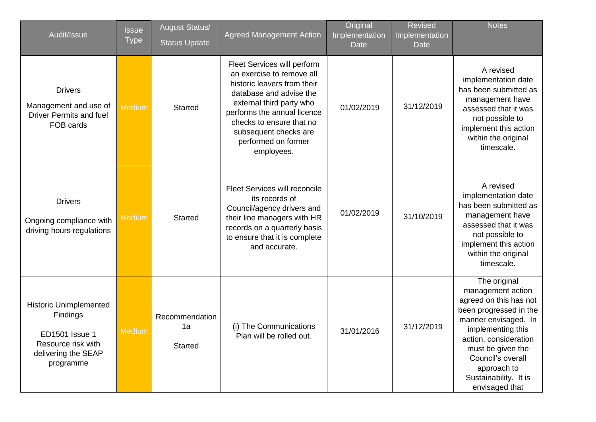| Audit/Issue                                                                                                           | <b>Issue</b><br><b>Type</b> | <b>August Status/</b><br><b>Status Update</b> | <b>Agreed Management Action</b>                                                                                                                                                                                                                                         | Original<br>Implementation<br>Date <sup>'</sup> | <b>Revised</b><br>Implementation<br><b>Date</b> | <b>Notes</b>                                                                                                                                                                                                                                                    |
|-----------------------------------------------------------------------------------------------------------------------|-----------------------------|-----------------------------------------------|-------------------------------------------------------------------------------------------------------------------------------------------------------------------------------------------------------------------------------------------------------------------------|-------------------------------------------------|-------------------------------------------------|-----------------------------------------------------------------------------------------------------------------------------------------------------------------------------------------------------------------------------------------------------------------|
| <b>Drivers</b><br>Management and use of<br><b>Driver Permits and fuel</b><br>FOB cards                                | <b>Medium</b>               | <b>Started</b>                                | Fleet Services will perform<br>an exercise to remove all<br>historic leavers from their<br>database and advise the<br>external third party who<br>performs the annual licence<br>checks to ensure that no<br>subsequent checks are<br>performed on former<br>employees. | 01/02/2019                                      | 31/12/2019                                      | A revised<br>implementation date<br>has been submitted as<br>management have<br>assessed that it was<br>not possible to<br>implement this action<br>within the original<br>timescale.                                                                           |
| <b>Drivers</b><br>Ongoing compliance with<br>driving hours regulations                                                | Medium                      | <b>Started</b>                                | <b>Fleet Services will reconcile</b><br>its records of<br>Council/agency drivers and<br>their line managers with HR<br>records on a quarterly basis<br>to ensure that it is complete<br>and accurate.                                                                   | 01/02/2019                                      | 31/10/2019                                      | A revised<br>implementation date<br>has been submitted as<br>management have<br>assessed that it was<br>not possible to<br>implement this action<br>within the original<br>timescale.                                                                           |
| <b>Historic Unimplemented</b><br>Findings<br>ED1501 Issue 1<br>Resource risk with<br>delivering the SEAP<br>programme | Medium                      | Recommendation<br>1a<br><b>Started</b>        | (i) The Communications<br>Plan will be rolled out.                                                                                                                                                                                                                      | 31/01/2016                                      | 31/12/2019                                      | The original<br>management action<br>agreed on this has not<br>been progressed in the<br>manner envisaged. In<br>implementing this<br>action, consideration<br>must be given the<br>Council's overall<br>approach to<br>Sustainability. It is<br>envisaged that |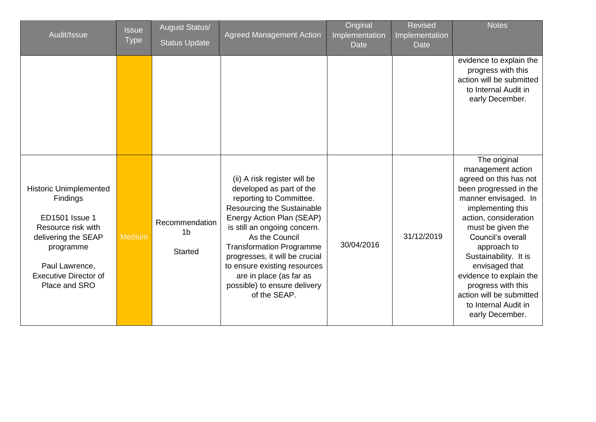| Audit/Issue                                                                                                                                                                                            | <b>Issue</b><br><b>Type</b> | <b>August Status/</b><br><b>Status Update</b>      | <b>Agreed Management Action</b>                                                                                                                                                                                                                                                                                                                                                  | Original<br>Implementation<br><b>Date</b> | <b>Revised</b><br>Implementation<br><b>Date</b> | <b>Notes</b>                                                                                                                                                                                                                                                                                                                                                                            |
|--------------------------------------------------------------------------------------------------------------------------------------------------------------------------------------------------------|-----------------------------|----------------------------------------------------|----------------------------------------------------------------------------------------------------------------------------------------------------------------------------------------------------------------------------------------------------------------------------------------------------------------------------------------------------------------------------------|-------------------------------------------|-------------------------------------------------|-----------------------------------------------------------------------------------------------------------------------------------------------------------------------------------------------------------------------------------------------------------------------------------------------------------------------------------------------------------------------------------------|
|                                                                                                                                                                                                        |                             |                                                    |                                                                                                                                                                                                                                                                                                                                                                                  |                                           |                                                 | evidence to explain the<br>progress with this<br>action will be submitted<br>to Internal Audit in<br>early December.                                                                                                                                                                                                                                                                    |
| <b>Historic Unimplemented</b><br><b>Findings</b><br><b>ED1501</b> Issue 1<br>Resource risk with<br>delivering the SEAP<br>programme<br>Paul Lawrence,<br><b>Executive Director of</b><br>Place and SRO | <b>Medium</b>               | Recommendation<br>1 <sub>b</sub><br><b>Started</b> | (ii) A risk register will be<br>developed as part of the<br>reporting to Committee.<br>Resourcing the Sustainable<br>Energy Action Plan (SEAP)<br>is still an ongoing concern.<br>As the Council<br><b>Transformation Programme</b><br>progresses, it will be crucial<br>to ensure existing resources<br>are in place (as far as<br>possible) to ensure delivery<br>of the SEAP. | 30/04/2016                                | 31/12/2019                                      | The original<br>management action<br>agreed on this has not<br>been progressed in the<br>manner envisaged. In<br>implementing this<br>action, consideration<br>must be given the<br>Council's overall<br>approach to<br>Sustainability. It is<br>envisaged that<br>evidence to explain the<br>progress with this<br>action will be submitted<br>to Internal Audit in<br>early December. |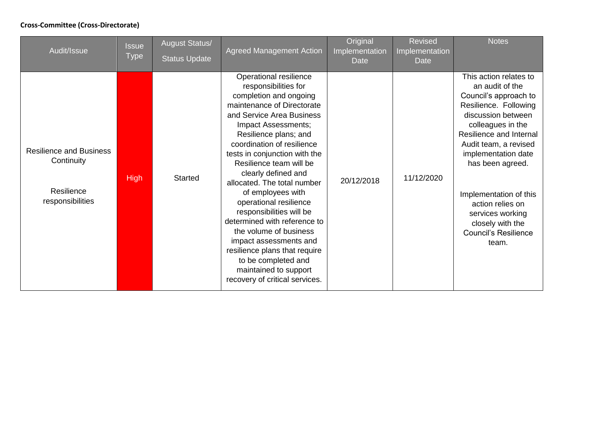#### **Cross-Committee (Cross-Directorate)**

| Audit/Issue                                                                    | <b>Issue</b><br><b>Type</b> | <b>August Status/</b><br><b>Status Update</b> | <b>Agreed Management Action</b>                                                                                                                                                                                                                                                                                                                                                                                                                                                                                                                                                                                       | Original<br>Implementation<br>Date | <b>Revised</b><br>Implementation<br>Date | <b>Notes</b>                                                                                                                                                                                                                                                                                                                                                        |
|--------------------------------------------------------------------------------|-----------------------------|-----------------------------------------------|-----------------------------------------------------------------------------------------------------------------------------------------------------------------------------------------------------------------------------------------------------------------------------------------------------------------------------------------------------------------------------------------------------------------------------------------------------------------------------------------------------------------------------------------------------------------------------------------------------------------------|------------------------------------|------------------------------------------|---------------------------------------------------------------------------------------------------------------------------------------------------------------------------------------------------------------------------------------------------------------------------------------------------------------------------------------------------------------------|
| <b>Resilience and Business</b><br>Continuity<br>Resilience<br>responsibilities | <b>High</b>                 | <b>Started</b>                                | Operational resilience<br>responsibilities for<br>completion and ongoing<br>maintenance of Directorate<br>and Service Area Business<br>Impact Assessments;<br>Resilience plans; and<br>coordination of resilience<br>tests in conjunction with the<br>Resilience team will be<br>clearly defined and<br>allocated. The total number<br>of employees with<br>operational resilience<br>responsibilities will be<br>determined with reference to<br>the volume of business<br>impact assessments and<br>resilience plans that require<br>to be completed and<br>maintained to support<br>recovery of critical services. | 20/12/2018                         | 11/12/2020                               | This action relates to<br>an audit of the<br>Council's approach to<br>Resilience. Following<br>discussion between<br>colleagues in the<br>Resilience and Internal<br>Audit team, a revised<br>implementation date<br>has been agreed.<br>Implementation of this<br>action relies on<br>services working<br>closely with the<br><b>Council's Resilience</b><br>team. |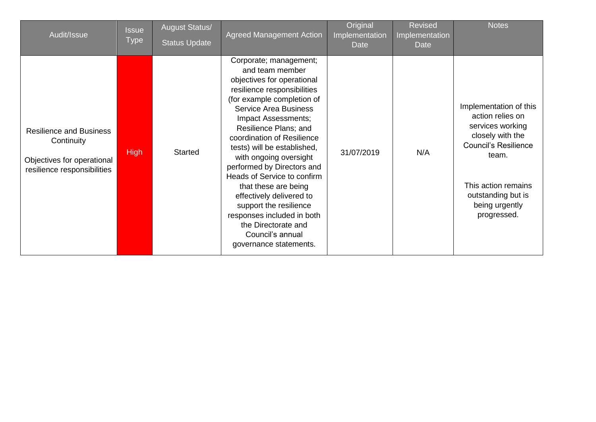| Audit/Issue                                                                                               | Issue<br><b>Type</b> | <b>August Status/</b><br><b>Status Update</b> | <b>Agreed Management Action</b>                                                                                                                                                                                                                                                                                                                                                                                                                                                                                                                           | Original<br>Implementation<br>Date | <b>Revised</b><br>Implementation<br>Date | <b>Notes</b>                                                                                                                                                                                             |
|-----------------------------------------------------------------------------------------------------------|----------------------|-----------------------------------------------|-----------------------------------------------------------------------------------------------------------------------------------------------------------------------------------------------------------------------------------------------------------------------------------------------------------------------------------------------------------------------------------------------------------------------------------------------------------------------------------------------------------------------------------------------------------|------------------------------------|------------------------------------------|----------------------------------------------------------------------------------------------------------------------------------------------------------------------------------------------------------|
| <b>Resilience and Business</b><br>Continuity<br>Objectives for operational<br>resilience responsibilities | <b>High</b>          | <b>Started</b>                                | Corporate; management;<br>and team member<br>objectives for operational<br>resilience responsibilities<br>(for example completion of<br><b>Service Area Business</b><br>Impact Assessments;<br>Resilience Plans; and<br>coordination of Resilience<br>tests) will be established,<br>with ongoing oversight<br>performed by Directors and<br>Heads of Service to confirm<br>that these are being<br>effectively delivered to<br>support the resilience<br>responses included in both<br>the Directorate and<br>Council's annual<br>governance statements. | 31/07/2019                         | N/A                                      | Implementation of this<br>action relies on<br>services working<br>closely with the<br><b>Council's Resilience</b><br>team.<br>This action remains<br>outstanding but is<br>being urgently<br>progressed. |